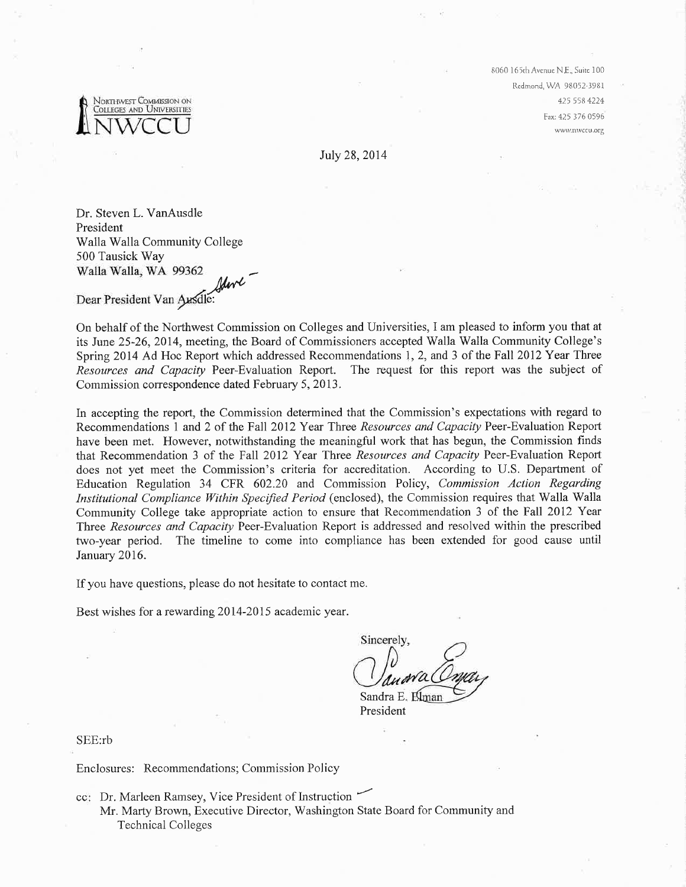

8060 Ì65rhAvcnue N.E., Suítc 100 Rcdmond, WA 98052.1981 425 558 4224 Fax:425 376 0596 www.nwccu.org

July 28,2014

Dr. Steven L. VanAusdle President Walla Walla Community College 500 Tausick Way Walla Walla, WA 99362

walla Walla, WA 99362<br>Dear President Van Ausdle: /

On behalf of the Northwest Commission on Colleges and Universities, I am pleased to inform you that at its June 25-26,2014, meeting, the Board of Commissioners accepted Walla Walla Community College's Spring 2014 Ad Hoc Report which addressed Recommendations 1, 2, and 3 of the Fall 2012 Year Three Resources and Capacity Peer-Evaluation Report. The request for this report was the subject of Commission correspondence dated February 5, 2013.

In accepting the report, the Commission determined that the Commission's expectations with regard to Recommendations 1 and 2 of the Fall 2012 Year Three Resources and Capacity Peer-Evaluation Report have been met. However, notwithstanding the meaningful work that has begun, the Commission finds that Recommendation 3 of the Fall 2012 Year Three Resources and Capacity Peer-Evaluation Report does not yet meet the Commission's criteria for accreditation. According to U.S. Department of Education Regulation 34 CFR 602.20 and Commission Policy, Commission Action Regarding Institutional Compliance Within Specified Period (enclosed), the Commission requires that Walla Walla Community College take appropriate action to ensure that Recommendation 3 of the Fall 2012 Year Three Resources and Capacity Peer-Evaluation Report is addressed and resolved within the prescribed two-year period. The timeline to come into compliance has been extended for good cause until January 2016.

If you have questions, please do not hesitate to contact me.

-

Best wishes for a rewarding 2014-2015 academic year.

Sincerely, Sandra E.

President

SEE:rb

Enclosures: Recommendations; Commission Policy

cc: Dr. Marleen Ramsey, Vice President of Instruction

Mr. Marty Brown, Executive Director, Washington State Board for Community and Technical Colleges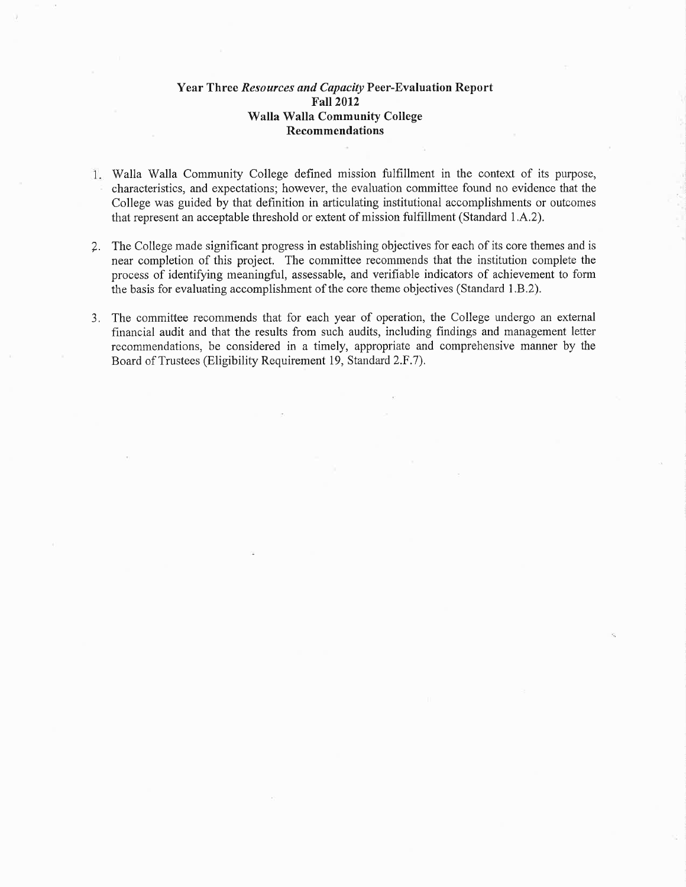## Year Three Resources and Capøcity Peer-Evaluation Report Fall2012 Walla Walla Community College Recommendations

- Walla Walla Community College defined mission fulfillment in the context of its purpose, characteristics, and expectations; however, the evaluation committee found no evidence that the College was guided by that definition in articulating institutional accomplishments or outcomes that represent an acceptable threshold or extent of mission fulfillment (Standard 1.A.2),
- 7. The College made significant progress in establishing objectives for each of its core themes and is near completion of this project. The committee recommends that the institution complete the process of identifying meaningful, assessable, and verifiable indicators of achievement to form the basis for evaluating accomplishment of the core theme objectives (Standard 1.8.2).
- 3. The committee recommends that for each year of operation, the College undergo an external financial audit and that the results from such audits, including findings and management letter recommendations, be considered in a timely, appropriate and comprehensive manner by the Board of Trustees (Eligibility Requirement 19, Standard 2.F.7).